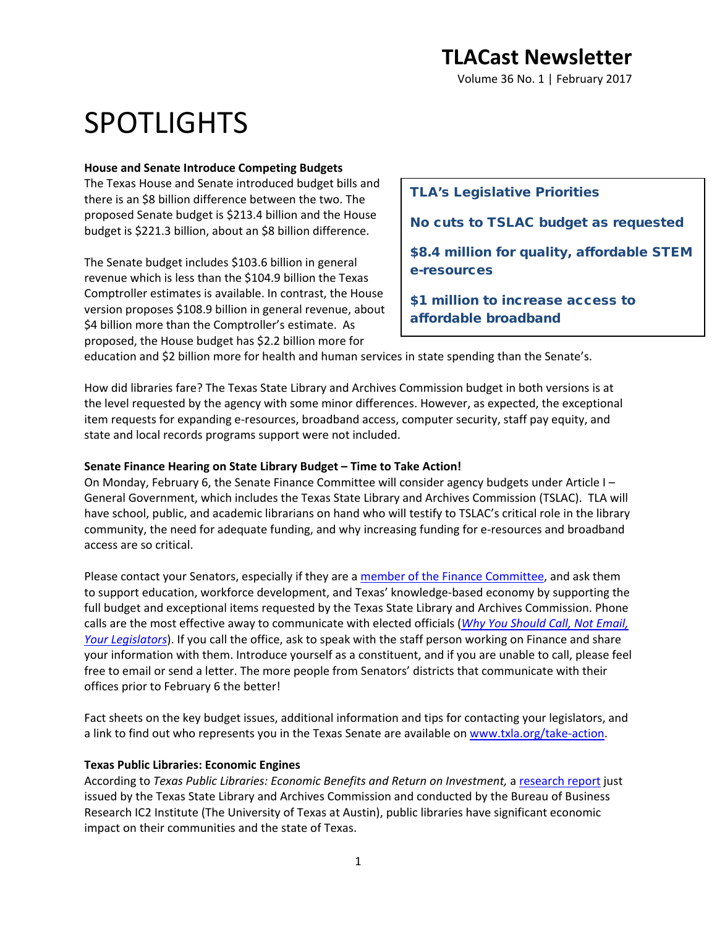Volume 36 No. 1 | February 2017

# SPOTLIGHTS

### **House and Senate Introduce Competing Budgets**

The Texas House and Senate introduced budget bills and there is an \$8 billion difference between the two. The proposed Senate budget is \$213.4 billion and the House budget is \$221.3 billion, about an \$8 billion difference.

The Senate budget includes \$103.6 billion in general revenue which is less than the \$104.9 billion the Texas Comptroller estimates is available. In contrast, the House version proposes \$108.9 billion in general revenue, about \$4 billion more than the Comptroller's estimate. As proposed, the House budget has \$2.2 billion more for

### TLA's Legislative Priorities

No cuts to TSLAC budget as requested

\$8.4 million for quality, affordable STEM e-resources

\$1 million to increase access to affordable broadband

education and \$2 billion more for health and human services in state spending than the Senate's.

How did libraries fare? The Texas State Library and Archives Commission budget in both versions is at the level requested by the agency with some minor differences. However, as expected, the exceptional item requests for expanding e-resources, broadband access, computer security, staff pay equity, and state and local records programs support were not included.

### **Senate Finance Hearing on State Library Budget – Time to Take Action!**

On Monday, February 6, the Senate Finance Committee will consider agency budgets under Article I – General Government, which includes the Texas State Library and Archives Commission (TSLAC). TLA will have school, public, and academic librarians on hand who will testify to TSLAC's critical role in the library community, the need for adequate funding, and why increasing funding for e-resources and broadband access are so critical.

Please contact your Senators, especially if they are a [member of the Finance Committee,](http://www.senate.texas.gov/cmte.php?c=540) and ask them to support education, workforce development, and Texas' knowledge-based economy by supporting the full budget and exceptional items requested by the Texas State Library and Archives Commission. Phone calls are the most effective away to communicate with elected officials (*[Why You Should Call, Not Email,](https://mobile.nytimes.com/2016/11/22/us/politics/heres-why-you-should-call-not-email-your-legislators.html?smid=tw-nytimes&smtyp=cur&referer=https://t.co/aKgUkUAfbI?amp=1)  [Your Legislators](https://mobile.nytimes.com/2016/11/22/us/politics/heres-why-you-should-call-not-email-your-legislators.html?smid=tw-nytimes&smtyp=cur&referer=https://t.co/aKgUkUAfbI?amp=1)*). If you call the office, ask to speak with the staff person working on Finance and share your information with them. Introduce yourself as a constituent, and if you are unable to call, please feel free to email or send a letter. The more people from Senators' districts that communicate with their offices prior to February 6 the better!

Fact sheets on the key budget issues, additional information and tips for contacting your legislators, and a link to find out who represents you in the Texas Senate are available on [www.txla.org/take-action.](http://www.txla.org/take-action)

### **Texas Public Libraries: Economic Engines**

According to *Texas Public Libraries: Economic Benefits and Return on Investment,* [a research report](https://www.tsl.texas.gov/roi) just issued by the Texas State Library and Archives Commission and conducted by the Bureau of Business Research IC2 Institute (The University of Texas at Austin), public libraries have significant economic impact on their communities and the state of Texas.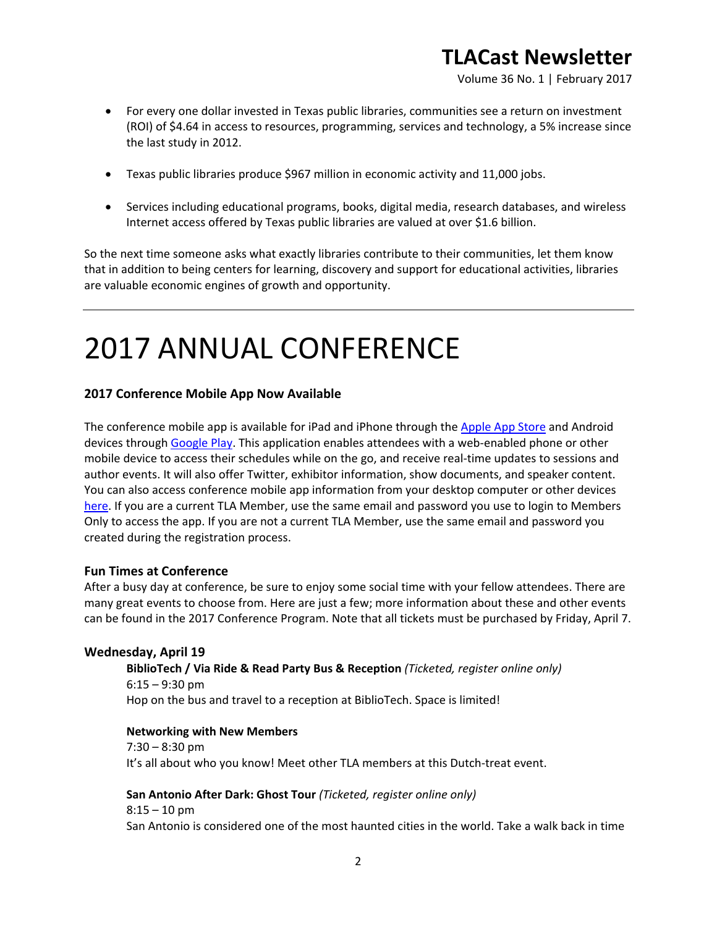Volume 36 No. 1 | February 2017

- For every one dollar invested in Texas public libraries, communities see a return on investment (ROI) of \$4.64 in access to resources, programming, services and technology, a 5% increase since the last study in 2012.
- Texas public libraries produce \$967 million in economic activity and 11,000 jobs.
- Services including educational programs, books, digital media, research databases, and wireless Internet access offered by Texas public libraries are valued at over \$1.6 billion.

So the next time someone asks what exactly libraries contribute to their communities, let them know that in addition to being centers for learning, discovery and support for educational activities, libraries are valuable economic engines of growth and opportunity.

# 2017 ANNUAL CONFERENCE

### **2017 Conference Mobile App Now Available**

The conference mobile app is available for iPad and iPhone through the [Apple App Store](https://itunes.apple.com/us/app/tla-2017/id1195628079?ls=1&mt=8) and Android devices through [Google Play.](https://play.google.com/store/apps/details?id=org.tla.gd.annualconf2017) This application enables attendees with a web-enabled phone or other mobile device to access their schedules while on the go, and receive real-time updates to sessions and author events. It will also offer Twitter, exhibitor information, show documents, and speaker content. You can also access conference mobile app information from your desktop computer or other devices [here.](https://tla2017.gatherdigital.com/apps/2512) If you are a current TLA Member, use the same email and password you use to login to Members Only to access the app. If you are not a current TLA Member, use the same email and password you created during the registration process.

### **Fun Times at Conference**

After a busy day at conference, be sure to enjoy some social time with your fellow attendees. There are many great events to choose from. Here are just a few; more information about these and other events can be found in the 2017 Conference Program. Note that all tickets must be purchased by Friday, April 7.

### **Wednesday, April 19**

**BiblioTech / Via Ride & Read Party Bus & Reception** *(Ticketed, register online only)*  $6:15 - 9:30$  pm Hop on the bus and travel to a reception at BiblioTech. Space is limited!

#### **Networking with New Members**

7:30 – 8:30 pm It's all about who you know! Meet other TLA members at this Dutch-treat event.

**San Antonio After Dark: Ghost Tour** *(Ticketed, register online only)*

 $8:15 - 10$  pm San Antonio is considered one of the most haunted cities in the world. Take a walk back in time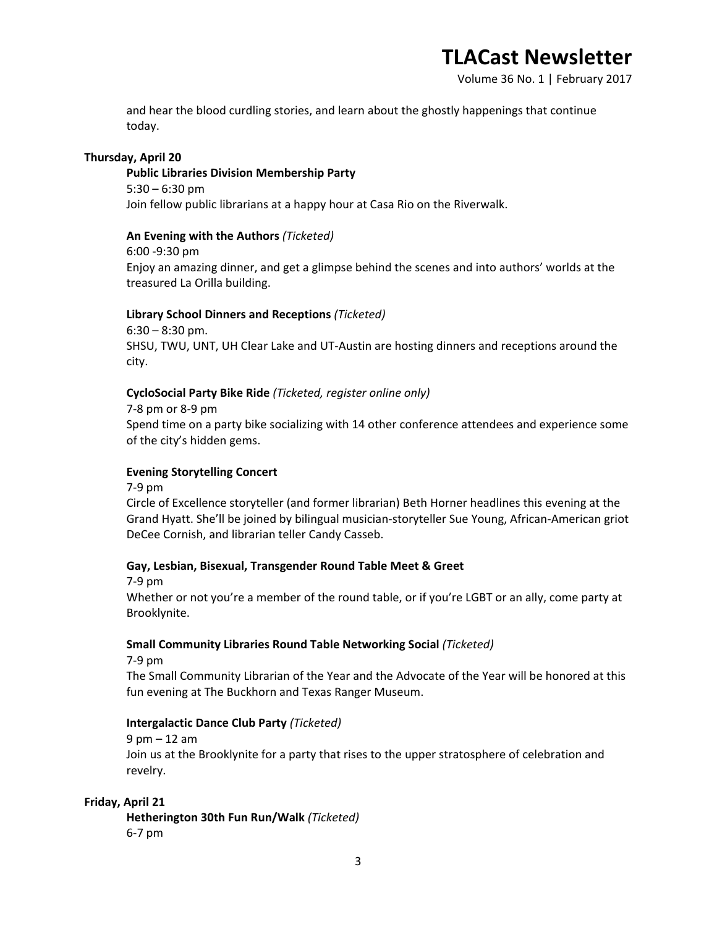Volume 36 No. 1 | February 2017

and hear the blood curdling stories, and learn about the ghostly happenings that continue today.

### **Thursday, April 20**

**Public Libraries Division Membership Party** 5:30 – 6:30 pm Join fellow public librarians at a happy hour at Casa Rio on the Riverwalk.

### **An Evening with the Authors** *(Ticketed)*

6:00 -9:30 pm Enjoy an amazing dinner, and get a glimpse behind the scenes and into authors' worlds at the treasured La Orilla building.

### **Library School Dinners and Receptions** *(Ticketed)*

 $6:30 - 8:30$  pm. SHSU, TWU, UNT, UH Clear Lake and UT-Austin are hosting dinners and receptions around the city.

### **CycloSocial Party Bike Ride** *(Ticketed, register online only)*

7-8 pm or 8-9 pm Spend time on a party bike socializing with 14 other conference attendees and experience some of the city's hidden gems.

### **Evening Storytelling Concert**

7-9 pm

Circle of Excellence storyteller (and former librarian) Beth Horner headlines this evening at the Grand Hyatt. She'll be joined by bilingual musician-storyteller Sue Young, African-American griot DeCee Cornish, and librarian teller Candy Casseb.

### **Gay, Lesbian, Bisexual, Transgender Round Table Meet & Greet**

7-9 pm

Whether or not you're a member of the round table, or if you're LGBT or an ally, come party at Brooklynite.

### **Small Community Libraries Round Table Networking Social** *(Ticketed)*

7-9 pm

The Small Community Librarian of the Year and the Advocate of the Year will be honored at this fun evening at The Buckhorn and Texas Ranger Museum.

### **Intergalactic Dance Club Party** *(Ticketed)*

9 pm – 12 am Join us at the Brooklynite for a party that rises to the upper stratosphere of celebration and revelry.

### **Friday, April 21**

**Hetherington 30th Fun Run/Walk** *(Ticketed)* 6-7 pm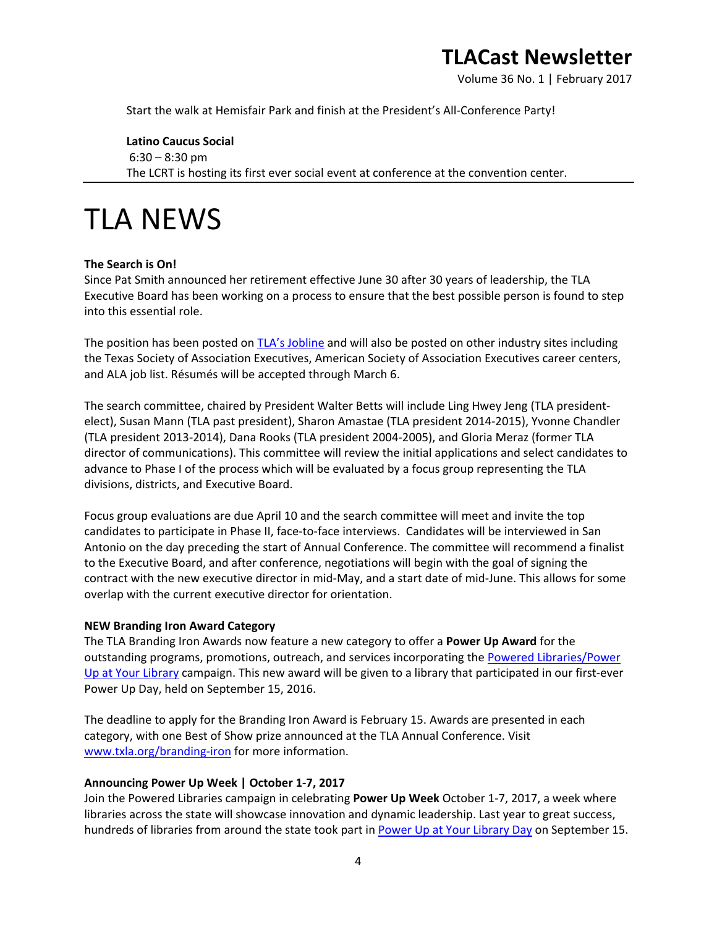Volume 36 No. 1 | February 2017

Start the walk at Hemisfair Park and finish at the President's All-Conference Party!

**Latino Caucus Social**  $6:30 - 8:30$  pm The LCRT is hosting its first ever social event at conference at the convention center.

## TLA NEWS

### **The Search is On!**

Since Pat Smith announced her retirement effective June 30 after 30 years of leadership, the TLA Executive Board has been working on a process to ensure that the best possible person is found to step into this essential role.

The position has been posted on [TLA's Jobline](https://secure.txla.org/secure/jobs/jobshow.asp?key=8050) and will also be posted on other industry sites including the Texas Society of Association Executives, American Society of Association Executives career centers, and ALA job list. Résumés will be accepted through March 6.

The search committee, chaired by President Walter Betts will include Ling Hwey Jeng (TLA presidentelect), Susan Mann (TLA past president), Sharon Amastae (TLA president 2014-2015), Yvonne Chandler (TLA president 2013-2014), Dana Rooks (TLA president 2004-2005), and Gloria Meraz (former TLA director of communications). This committee will review the initial applications and select candidates to advance to Phase I of the process which will be evaluated by a focus group representing the TLA divisions, districts, and Executive Board.

Focus group evaluations are due April 10 and the search committee will meet and invite the top candidates to participate in Phase II, face-to-face interviews. Candidates will be interviewed in San Antonio on the day preceding the start of Annual Conference. The committee will recommend a finalist to the Executive Board, and after conference, negotiations will begin with the goal of signing the contract with the new executive director in mid-May, and a start date of mid-June. This allows for some overlap with the current executive director for orientation.

#### **NEW Branding Iron Award Category**

The TLA Branding Iron Awards now feature a new category to offer a **Power Up Award** for the outstanding programs, promotions, outreach, and services incorporating the [Powered Libraries/Power](http://www.poweredlibraries.org/)  [Up at Your Library](http://www.poweredlibraries.org/) campaign. This new award will be given to a library that participated in our first-ever Power Up Day, held on September 15, 2016.

The deadline to apply for the Branding Iron Award is February 15. Awards are presented in each category, with one Best of Show prize announced at the TLA Annual Conference. Visit [www.txla.org/branding-iron](http://www.txla.org/branding-iron) for more information.

#### **Announcing Power Up Week | October 1-7, 2017**

Join the Powered Libraries campaign in celebrating **Power Up Week** October 1-7, 2017, a week where libraries across the state will showcase innovation and dynamic leadership. Last year to great success, hundreds of libraries from around the state took part in [Power Up at Your Library Day](http://www.txla.org/news/2016/09/power-up-at-your-library-day) on September 15.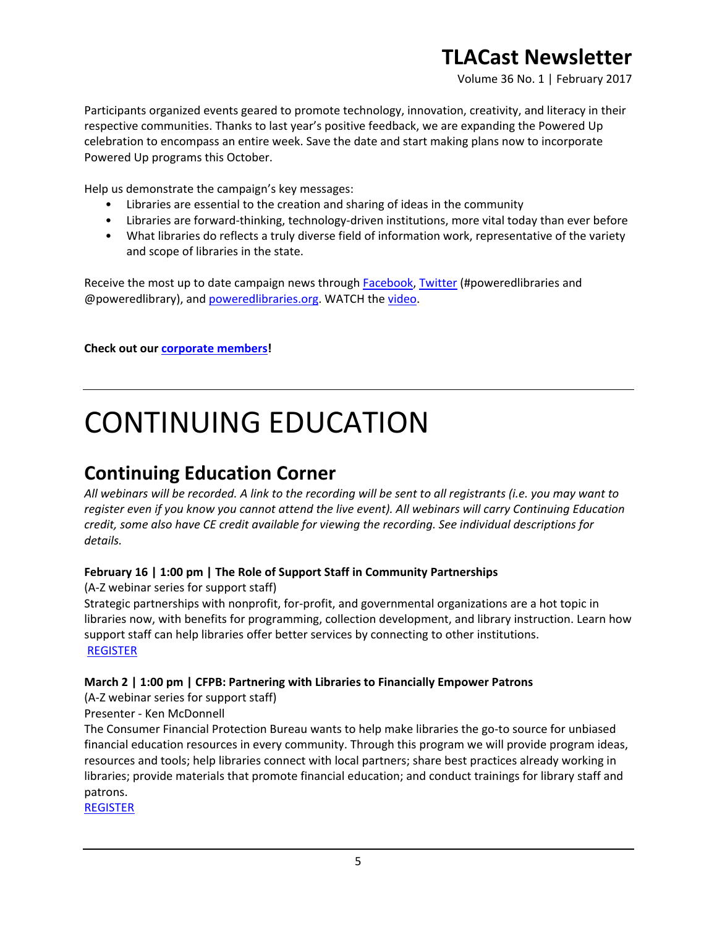Volume 36 No. 1 | February 2017

Participants organized events geared to promote technology, innovation, creativity, and literacy in their respective communities. Thanks to last year's positive feedback, we are expanding the Powered Up celebration to encompass an entire week. Save the date and start making plans now to incorporate Powered Up programs this October.

Help us demonstrate the campaign's key messages:

- Libraries are essential to the creation and sharing of ideas in the community
- Libraries are forward-thinking, technology-driven institutions, more vital today than ever before
- What libraries do reflects a truly diverse field of information work, representative of the variety and scope of libraries in the state.

Receive the most up to date campaign news through [Facebook,](https://www.facebook.com/poweredlibraries/) [Twitter](https://twitter.com/poweredlibrary) (#poweredlibraries and @poweredlibrary), and [poweredlibraries.org.](http://www.poweredlibraries.org/) WATCH the [video.](https://www.youtube.com/watch?v=3-2fvR2e7sM)

**Check out our [corporate members!](http://www.txla.org/cm)**

# CONTINUING EDUCATION

### **Continuing Education Corner**

*All webinars will be recorded. A link to the recording will be sent to all registrants (i.e. you may want to register even if you know you cannot attend the live event). All webinars will carry Continuing Education credit, some also have CE credit available for viewing the recording. See individual descriptions for details.*

### **February 16 | 1:00 pm | The Role of Support Staff in Community Partnerships**

(A-Z webinar series for support staff)

Strategic partnerships with nonprofit, for-profit, and governmental organizations are a hot topic in libraries now, with benefits for programming, collection development, and library instruction. Learn how support staff can help libraries offer better services by connecting to other institutions. [REGISTER](https://secure.txla.org/secure/forms/mtgLogin.asp)

### **March 2 | 1:00 pm | CFPB: Partnering with Libraries to Financially Empower Patrons**

(A-Z webinar series for support staff)

### Presenter - Ken McDonnell

The Consumer Financial Protection Bureau wants to help make libraries the go-to source for unbiased financial education resources in every community. Through this program we will provide program ideas, resources and tools; help libraries connect with local partners; share best practices already working in libraries; provide materials that promote financial education; and conduct trainings for library staff and patrons.

[REGISTER](https://join.onstreammedia.com/register/80146595/cfpb1)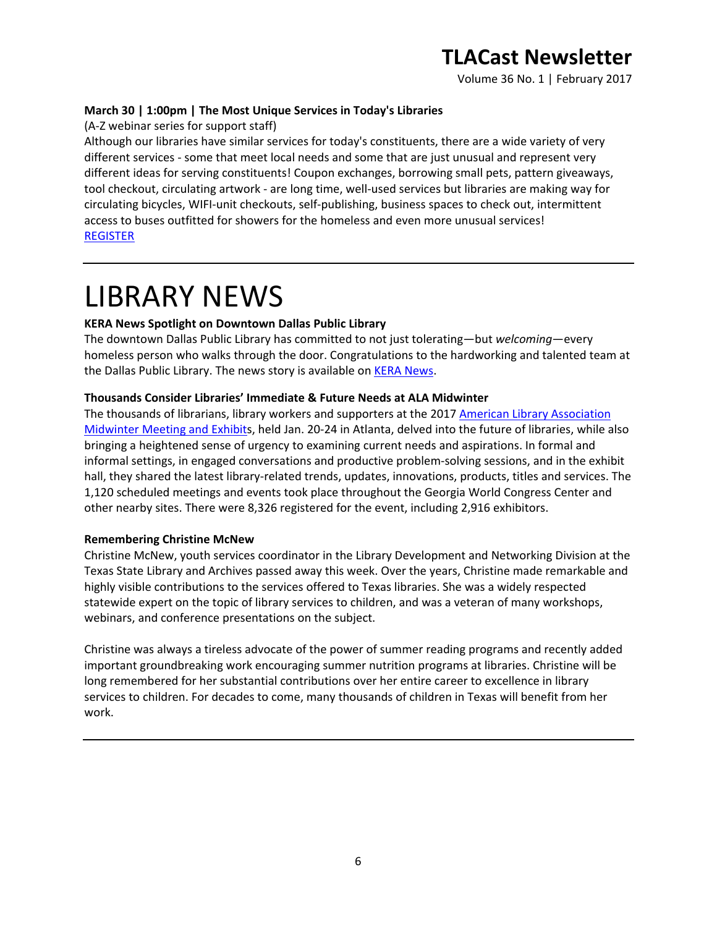Volume 36 No. 1 | February 2017

### **March 30 | 1:00pm | The Most Unique Services in Today's Libraries**

(A-Z webinar series for support staff)

Although our libraries have similar services for today's constituents, there are a wide variety of very different services - some that meet local needs and some that are just unusual and represent very different ideas for serving constituents! Coupon exchanges, borrowing small pets, pattern giveaways, tool checkout, circulating artwork - are long time, well-used services but libraries are making way for circulating bicycles, WIFI-unit checkouts, self-publishing, business spaces to check out, intermittent access to buses outfitted for showers for the homeless and even more unusual services! [REGISTER](https://secure.txla.org/secure/forms/mtgLogin.asp)

## LIBRARY NEWS

### **KERA News Spotlight on Downtown Dallas Public Library**

The downtown Dallas Public Library has committed to not just tolerating—but *welcoming*—every homeless person who walks through the door. Congratulations to the hardworking and talented team at the Dallas Public Library. The news story is available on **KERA News**.

### **Thousands Consider Libraries' Immediate & Future Needs at ALA Midwinter**

The thousands of librarians, library workers and supporters at the 2017 [American Library Association](http://2017.alamidwinter.org/)  [Midwinter Meeting and Exhibits](http://2017.alamidwinter.org/), held Jan. 20-24 in Atlanta, delved into the future of libraries, while also bringing a heightened sense of urgency to examining current needs and aspirations. In formal and informal settings, in engaged conversations and productive problem-solving sessions, and in the exhibit hall, they shared the latest library-related trends, updates, innovations, products, titles and services. The 1,120 scheduled meetings and events took place throughout the Georgia World Congress Center and other nearby sites. There were 8,326 registered for the event, including 2,916 exhibitors.

### **Remembering Christine McNew**

Christine McNew, youth services coordinator in the Library Development and Networking Division at the Texas State Library and Archives passed away this week. Over the years, Christine made remarkable and highly visible contributions to the services offered to Texas libraries. She was a widely respected statewide expert on the topic of library services to children, and was a veteran of many workshops, webinars, and conference presentations on the subject.

Christine was always a tireless advocate of the power of summer reading programs and recently added important groundbreaking work encouraging summer nutrition programs at libraries. Christine will be long remembered for her substantial contributions over her entire career to excellence in library services to children. For decades to come, many thousands of children in Texas will benefit from her work.